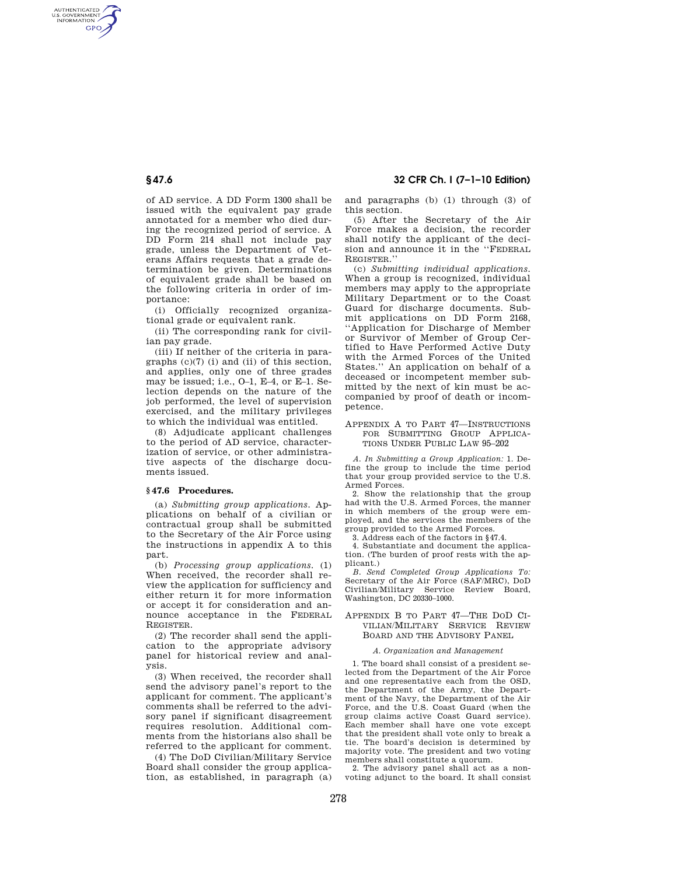of AD service. A DD Form 1300 shall be issued with the equivalent pay grade annotated for a member who died during the recognized period of service. A DD Form 214 shall not include pay grade, unless the Department of Veterans Affairs requests that a grade determination be given. Determinations of equivalent grade shall be based on the following criteria in order of importance:

(i) Officially recognized organizational grade or equivalent rank.

(ii) The corresponding rank for civilian pay grade.

(iii) If neither of the criteria in paragraphs (c)(7) (i) and (ii) of this section, and applies, only one of three grades may be issued; i.e., O–1, E–4, or E–1. Selection depends on the nature of the job performed, the level of supervision exercised, and the military privileges to which the individual was entitled.

(8) Adjudicate applicant challenges to the period of AD service, characterization of service, or other administrative aspects of the discharge documents issued.

## **§ 47.6 Procedures.**

(a) *Submitting group applications.* Applications on behalf of a civilian or contractual group shall be submitted to the Secretary of the Air Force using the instructions in appendix A to this part.

(b) *Processing group applications.* (1) When received, the recorder shall review the application for sufficiency and either return it for more information or accept it for consideration and announce acceptance in the FEDERAL REGISTER.

(2) The recorder shall send the application to the appropriate advisory panel for historical review and analysis.

(3) When received, the recorder shall send the advisory panel's report to the applicant for comment. The applicant's comments shall be referred to the advisory panel if significant disagreement requires resolution. Additional comments from the historians also shall be referred to the applicant for comment.

(4) The DoD Civilian/Military Service Board shall consider the group application, as established, in paragraph (a) and paragraphs (b) (1) through (3) of this section.

(5) After the Secretary of the Air Force makes a decision, the recorder shall notify the applicant of the decision and announce it in the ''FEDERAL REGISTER.''

(c) *Submitting individual applications.*  When a group is recognized, individual members may apply to the appropriate Military Department or to the Coast Guard for discharge documents. Submit applications on DD Form 2168, ''Application for Discharge of Member or Survivor of Member of Group Certified to Have Performed Active Duty with the Armed Forces of the United States.'' An application on behalf of a deceased or incompetent member submitted by the next of kin must be accompanied by proof of death or incompetence.

## APPENDIX A TO PART 47—INSTRUCTIONS FOR SUBMITTING GROUP APPLICA-TIONS UNDER PUBLIC LAW 95–202

*A. In Submitting a Group Application:* 1. Define the group to include the time period that your group provided service to the U.S. Armed Forces.

2. Show the relationship that the group had with the U.S. Armed Forces, the manner in which members of the group were employed, and the services the members of the group provided to the Armed Forces.

3. Address each of the factors in §47.4.

4. Substantiate and document the application. (The burden of proof rests with the applicant.)

*B. Send Completed Group Applications To:*  Secretary of the Air Force (SAF/MRC), DoD Civilian/Military Service Review Board, Washington, DC 20330–1000.

### APPENDIX B TO PART 47—THE DOD CI-VILIAN/MILITARY SERVICE REVIEW BOARD AND THE ADVISORY PANEL

### *A. Organization and Management*

1. The board shall consist of a president selected from the Department of the Air Force and one representative each from the OSD, the Department of the Army, the Department of the Navy, the Department of the Air Force, and the U.S. Coast Guard (when the group claims active Coast Guard service). Each member shall have one vote except that the president shall vote only to break a tie. The board's decision is determined by majority vote. The president and two voting members shall constitute a quorum.

2. The advisory panel shall act as a nonvoting adjunct to the board. It shall consist

AUTHENTICATED<br>U.S. GOVERNMENT<br>INFORMATION **GPO**